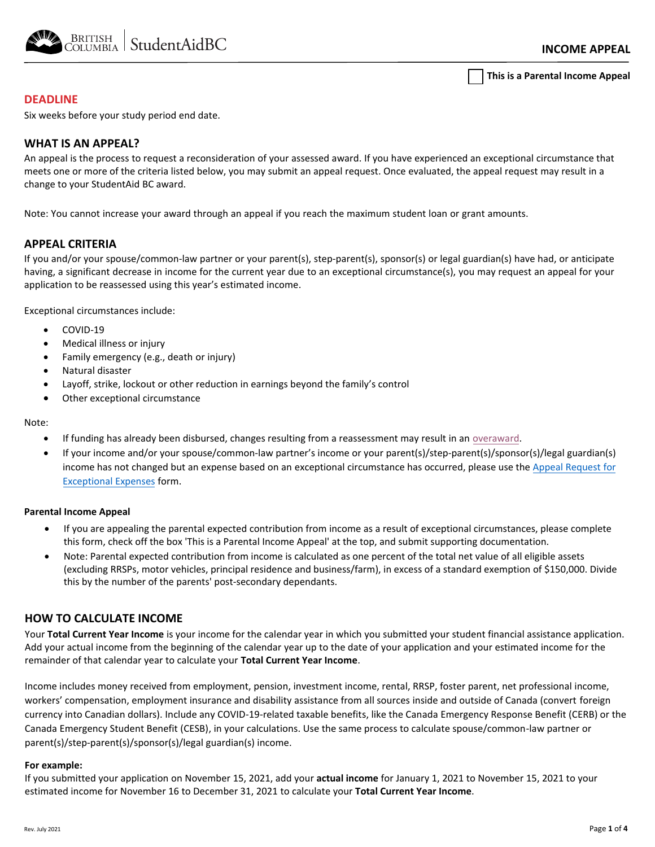

**This is a Parental Income Appeal**

## **DEADLINE**

Six weeks before your study period end date.

## **WHAT IS AN APPEAL?**

An appeal is the process to request a reconsideration of your assessed award. If you have experienced an exceptional circumstance that meets one or more of the criteria listed below, you may submit an appeal request. Once evaluated, the appeal request may result in a change to your StudentAid BC award.

Note: You cannot increase your award through an appeal if you reach the maximum student loan or grant amounts.

## **APPEAL CRITERIA**

If you and/or your spouse/common-law partner or your parent(s), step-parent(s), sponsor(s) or legal guardian(s) have had, or anticipate having, a significant decrease in income for the current year due to an exceptional circumstance(s), you may request an appeal for your application to be reassessed using this year's estimated income.

Exceptional circumstances include:

- COVID-19
- Medical illness or injury
- Family emergency (e.g., death or injury)
- Natural disaster
- Layoff, strike, lockout or other reduction in earnings beyond the family's control
- Other exceptional circumstance

#### Note:

- If funding has already been disbursed, changes resulting from a reassessment may result in an [overaward.](https://studentaidbc.ca/apply/overaward)
- If your income and/or your spouse/common-law partner's income or your parent(s)/step-parent(s)/sponsor(s)/legal guardian(s) [income has not changed but an expense based on an exceptional circumstance has occurred, please use the Appeal Request for](https://studentaidbc.ca/sites/all/files/form-library/appeal_exceptionalexpenses.pdf) Exceptional Expenses form.

### **Parental Income Appeal**

- If you are appealing the parental expected contribution from income as a result of exceptional circumstances, please complete this form, check off the box 'This is a Parental Income Appeal' at the top, and submit supporting documentation.
- Note: Parental expected contribution from income is calculated as one percent of the total net value of all eligible assets (excluding RRSPs, motor vehicles, principal residence and business/farm), in excess of a standard exemption of \$150,000. Divide this by the number of the parents' post-secondary dependants.

## **HOW TO CALCULATE INCOME**

Your **Total Current Year Income** is your income for the calendar year in which you submitted your student financial assistance application. Add your actual income from the beginning of the calendar year up to the date of your application and your estimated income for the remainder of that calendar year to calculate your **Total Current Year Income**.

Income includes money received from employment, pension, investment income, rental, RRSP, foster parent, net professional income, workers' compensation, employment insurance and disability assistance from all sources inside and outside of Canada (convert foreign currency into Canadian dollars). Include any COVID-19-related taxable benefits, like the Canada Emergency Response Benefit (CERB) or the Canada Emergency Student Benefit (CESB), in your calculations. Use the same process to calculate spouse/common-law partner or parent(s)/step-parent(s)/sponsor(s)/legal guardian(s) income.

### **For example:**

If you submitted your application on November 15, 2021, add your **actual income** for January 1, 2021 to November 15, 2021 to your estimated income for November 16 to December 31, 2021 to calculate your **Total Current Year Income**.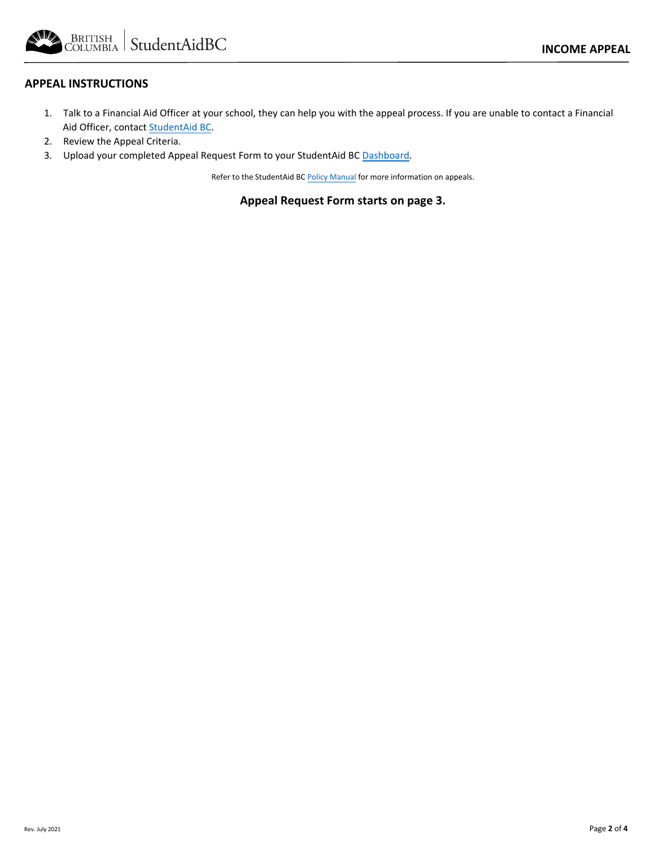BRITISH StudentAidBC

## **APPEAL INSTRUCTIONS**

- 1. Talk to a Financial Aid Officer at your school, they can help you with the appeal process. If you are unable to contact a Financial Aid Officer, contac[t StudentAid BC.](https://studentaidbc.ca/contact-information)
- 2. Review the Appeal Criteria.
- 3. Upload your completed Appeal Request Form to your StudentAid BC [Dashboard.](https://studentaidbc.ca/dashboard/login)

Refer to the StudentAid BC [Policy Manual](https://studentaidbc.ca/institution-officials) for more information on appeals.

**Appeal Request Form starts on page 3.**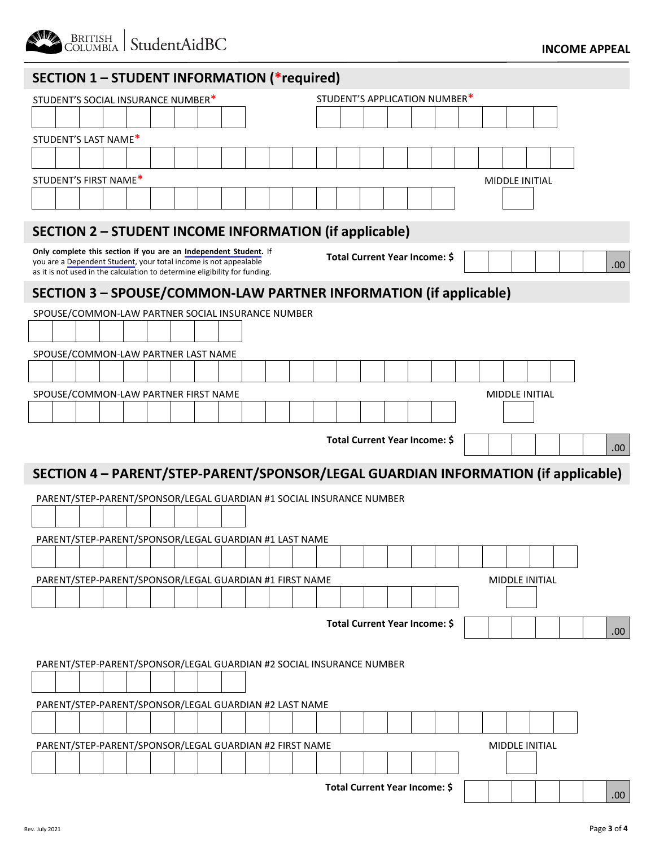

# **SECTION 1 – STUDENT INFORMATION (\*required)**

| STUDENT'S SOCIAL INSURANCE NUMBER*                                                                                                                                                                                 | STUDENT'S APPLICATION NUMBER*                                                     |
|--------------------------------------------------------------------------------------------------------------------------------------------------------------------------------------------------------------------|-----------------------------------------------------------------------------------|
|                                                                                                                                                                                                                    |                                                                                   |
| STUDENT'S LAST NAME*                                                                                                                                                                                               |                                                                                   |
|                                                                                                                                                                                                                    |                                                                                   |
| STUDENT'S FIRST NAME*                                                                                                                                                                                              | MIDDLE INITIAL                                                                    |
|                                                                                                                                                                                                                    |                                                                                   |
| <b>SECTION 2 - STUDENT INCOME INFORMATION (if applicable)</b>                                                                                                                                                      |                                                                                   |
| Only complete this section if you are an Independent Student. If<br>you are a Dependent Student, your total income is not appealable<br>as it is not used in the calculation to determine eligibility for funding. | Total Current Year Income: \$<br>.00                                              |
| SECTION 3 - SPOUSE/COMMON-LAW PARTNER INFORMATION (if applicable)                                                                                                                                                  |                                                                                   |
| SPOUSE/COMMON-LAW PARTNER SOCIAL INSURANCE NUMBER                                                                                                                                                                  |                                                                                   |
|                                                                                                                                                                                                                    |                                                                                   |
| SPOUSE/COMMON-LAW PARTNER LAST NAME                                                                                                                                                                                |                                                                                   |
|                                                                                                                                                                                                                    |                                                                                   |
| SPOUSE/COMMON-LAW PARTNER FIRST NAME                                                                                                                                                                               | <b>MIDDLE INITIAL</b>                                                             |
|                                                                                                                                                                                                                    |                                                                                   |
|                                                                                                                                                                                                                    |                                                                                   |
|                                                                                                                                                                                                                    | Total Current Year Income: \$<br>.00.                                             |
|                                                                                                                                                                                                                    |                                                                                   |
|                                                                                                                                                                                                                    | SECTION 4 - PARENT/STEP-PARENT/SPONSOR/LEGAL GUARDIAN INFORMATION (if applicable) |
| PARENT/STEP-PARENT/SPONSOR/LEGAL GUARDIAN #1 SOCIAL INSURANCE NUMBER                                                                                                                                               |                                                                                   |
|                                                                                                                                                                                                                    |                                                                                   |
| PARENT/STEP-PARENT/SPONSOR/LEGAL GUARDIAN #1 LAST NAME                                                                                                                                                             |                                                                                   |
|                                                                                                                                                                                                                    |                                                                                   |
| PARENT/STEP-PARENT/SPONSOR/LEGAL GUARDIAN #1 FIRST NAME                                                                                                                                                            | <b>MIDDLE INITIAL</b>                                                             |
|                                                                                                                                                                                                                    |                                                                                   |
|                                                                                                                                                                                                                    |                                                                                   |
|                                                                                                                                                                                                                    | Total Current Year Income: \$<br>.00.                                             |
|                                                                                                                                                                                                                    |                                                                                   |
| PARENT/STEP-PARENT/SPONSOR/LEGAL GUARDIAN #2 SOCIAL INSURANCE NUMBER                                                                                                                                               |                                                                                   |
|                                                                                                                                                                                                                    |                                                                                   |
| PARENT/STEP-PARENT/SPONSOR/LEGAL GUARDIAN #2 LAST NAME                                                                                                                                                             |                                                                                   |
|                                                                                                                                                                                                                    |                                                                                   |
| PARENT/STEP-PARENT/SPONSOR/LEGAL GUARDIAN #2 FIRST NAME                                                                                                                                                            | MIDDLE INITIAL                                                                    |
|                                                                                                                                                                                                                    |                                                                                   |
|                                                                                                                                                                                                                    |                                                                                   |
|                                                                                                                                                                                                                    | Total Current Year Income: \$<br>.00.                                             |